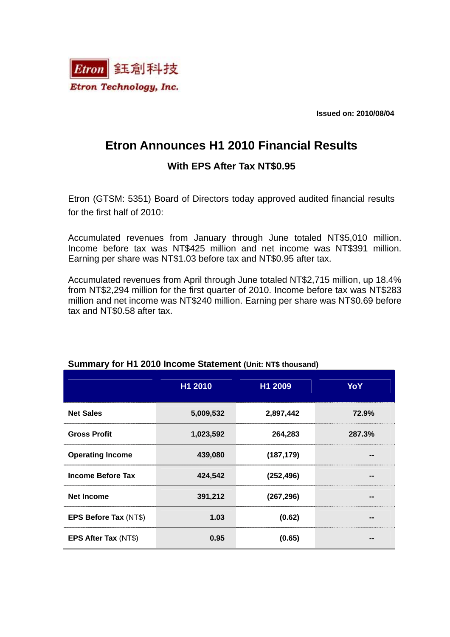

**Issued on: 2010/08/04** 

# **Etron Announces H1 2010 Financial Results**

### **With EPS After Tax NT\$0.95**

Etron (GTSM: 5351) Board of Directors today approved audited financial results for the first half of 2010:

Accumulated revenues from January through June totaled NT\$5,010 million. Income before tax was NT\$425 million and net income was NT\$391 million. Earning per share was NT\$1.03 before tax and NT\$0.95 after tax.

Accumulated revenues from April through June totaled NT\$2,715 million, up 18.4% from NT\$2,294 million for the first quarter of 2010. Income before tax was NT\$283 million and net income was NT\$240 million. Earning per share was NT\$0.69 before tax and NT\$0.58 after tax.

|                          | H1 2010   | H1 2009    | YoY    |
|--------------------------|-----------|------------|--------|
| <b>Net Sales</b>         | 5,009,532 | 2,897,442  | 72.9%  |
| <b>Gross Profit</b>      | 1,023,592 | 264,283    | 287.3% |
| <b>Operating Income</b>  | 439,080   | (187, 179) |        |
| <b>Income Before Tax</b> | 424,542   | (252, 496) |        |
| <b>Net Income</b>        | 391,212   | (267, 296) |        |
| EPS Before Tax (NT\$)    | 1.03      | (0.62)     |        |
| EPS After Tax (NT\$)     | 0.95      | (0.65)     |        |

#### **Summary for H1 2010 Income Statement (Unit: NT\$ thousand)**